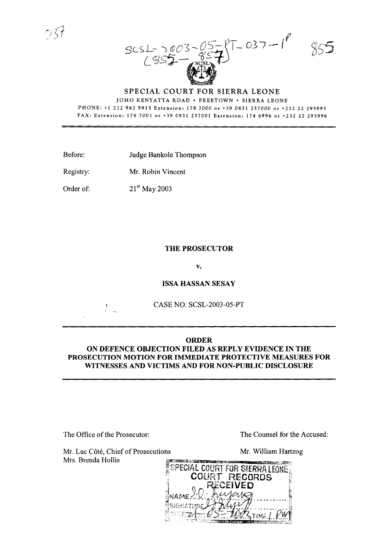$197 - 037 - 19$  $SCSL-20$ COSS<sub>E</sub> (1955)

JOMO KENYATTA ROAD · FREETOWN · SIERRA LEONE PHONE: +1 2129639915 Extension: 1787000 or +39 0831257000 or +23222295995 FAX: Extension: 178 7001 or +39 0831257001 Extension: 1746996 or +232 22 295996

Before: Judge Bankole Thompson

Registry: Mr. Robin Vincent

Order of:

21<sup>st</sup> May 2003

## **THE PROSECUTOR**

**v.**

# **ISSA HASSAN SESAY**

CASE NO. SCSL-2003-05-PT

## **ORDER**

#### **ON DEFENCE OBJECTION FILED AS REPLY EVIDENCE IN THE PROSECUTION MOTION FOR IMMEDIATE PROTECTIVE MEASURES FOR WITNESSES AND VICTIMS AND FOR NON-PUBLIC DISCLOSURE**

The Office of the Prosecutor: The Counsel for the Accused:

Mr. Luc Côté, Chief of Prosecutions Mrs. Brenda Hollis

Mr. William Hartzog



 $\sum_{i=1}^{n}$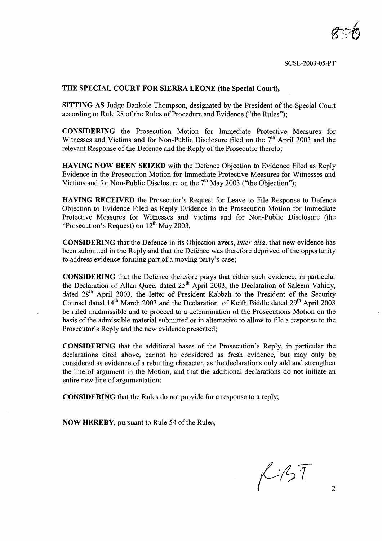SCSL-2003-05-PT

#### THE SPECIAL COURT FOR SIERRA LEONE (the Special Court),

SITTING AS Judge Bankole Thompson, designated by the President of the Special Court according to Rule 28 of the Rules of Procedure and Evidence ("the Rules");

CONSIDERING the Prosecution Motion for Immediate Protective Measures for Witnesses and Victims and for Non-Public Disclosure filed on the  $7<sup>th</sup>$  April 2003 and the relevant Response of the Defence and the Reply of the Prosecutor thereto;

HAVING NOW BEEN SEIZED with the Defence Objection to Evidence Filed as Reply Evidence in the Prosecution Motion for Immediate Protective Measures for Witnesses and Victims and for Non-Public Disclosure on the  $7<sup>th</sup>$  May 2003 ("the Objection");

HAVING RECEIVED the Prosecutor's Request for Leave to File Response to Defence Objection to Evidence Filed as Reply Evidence in the Prosecution Motion for Immediate Protective Measures for Witnesses and Victims and for Non-Public Disclosure (the "Prosecution's Request) on  $12<sup>th</sup>$  May 2003;

CONSIDERING that the Defence in its Objection avers, *inter alia,* that new evidence has been submitted in the Reply and that the Defence was therefore deprived of the opportunity to address evidence forming part of a moving party's case;

CONSIDERING that the Defence therefore prays that either such evidence, in particular the Declaration of Allan Quee, dated  $25<sup>th</sup>$  April 2003, the Declaration of Saleem Vahidy, dated 28<sup>th</sup> April 2003, the letter of President Kabbah to the President of the Security Counsel dated 14<sup>th</sup> March 2003 and the Declaration of Keith Biddle dated 29<sup>th</sup> April 2003 be ruled inadmissible and to proceed to a determination of the Prosecutions Motion on the basis ofthe admissible material submitted or in alternative to allow to file a response to the Prosecutor's Reply and the new evidence presented;

CONSIDERING that the additional bases of the Prosecution's Reply, in particular the declarations cited above, cannot be considered as fresh evidence, but may only be considered as evidence of a rebutting character, as the declarations only add and strengthen the line of argument in the Motion, and that the additional declarations do not initiate an entire new line of argumentation;

CONSIDERING that the Rules do not provide for a response to a reply;

NOW HEREBY, pursuant to Rule 54 of the Rules,

 $K-157$